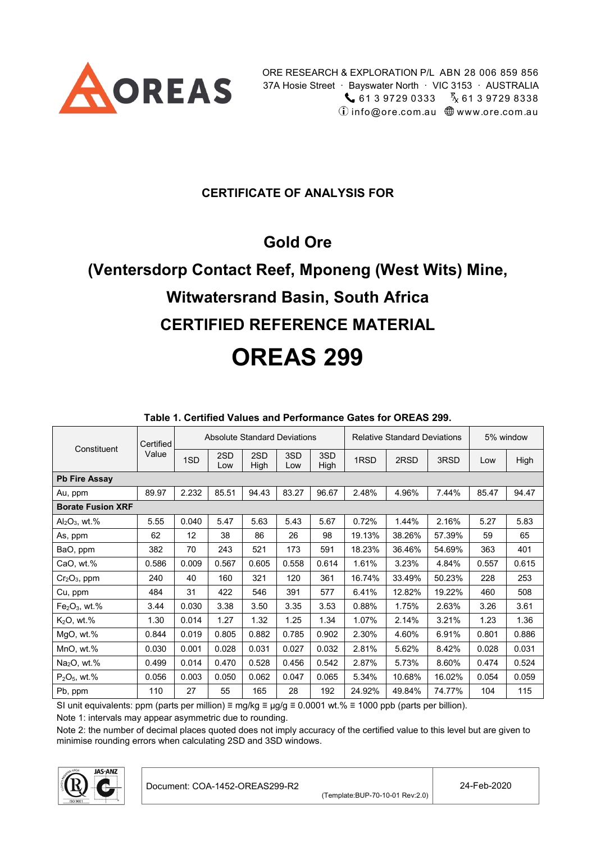

#### **CERTIFICATE OF ANALYSIS FOR**

# **Gold Ore**

# **(Ventersdorp Contact Reef, Mponeng (West Wits) Mine, Witwatersrand Basin, South Africa CERTIFIED REFERENCE MATERIAL OREAS 299**

<span id="page-0-1"></span>

|                          | Certified |       | <b>Absolute Standard Deviations</b> |             |            |             |        | <b>Relative Standard Deviations</b> |        |       | 5% window |
|--------------------------|-----------|-------|-------------------------------------|-------------|------------|-------------|--------|-------------------------------------|--------|-------|-----------|
| Constituent              | Value     | 1SD   | 2SD<br>Low                          | 2SD<br>High | 3SD<br>Low | 3SD<br>High | 1RSD   | 2RSD                                | 3RSD   | Low   | High      |
| <b>Pb Fire Assay</b>     |           |       |                                     |             |            |             |        |                                     |        |       |           |
| Au, ppm                  | 89.97     | 2.232 | 85.51                               | 94.43       | 83.27      | 96.67       | 2.48%  | 4.96%                               | 7.44%  | 85.47 | 94.47     |
| <b>Borate Fusion XRF</b> |           |       |                                     |             |            |             |        |                                     |        |       |           |
| $Al_2O_3$ , wt.%         | 5.55      | 0.040 | 5.47                                | 5.63        | 5.43       | 5.67        | 0.72%  | 1.44%                               | 2.16%  | 5.27  | 5.83      |
| As, ppm                  | 62        | 12    | 38                                  | 86          | 26         | 98          | 19.13% | 38.26%                              | 57.39% | 59    | 65        |
| BaO, ppm                 | 382       | 70    | 243                                 | 521         | 173        | 591         | 18.23% | 36.46%                              | 54.69% | 363   | 401       |
| CaO, wt.%                | 0.586     | 0.009 | 0.567                               | 0.605       | 0.558      | 0.614       | 1.61%  | 3.23%                               | 4.84%  | 0.557 | 0.615     |
| $Cr2O3$ , ppm            | 240       | 40    | 160                                 | 321         | 120        | 361         | 16.74% | 33.49%                              | 50.23% | 228   | 253       |
| Cu, ppm                  | 484       | 31    | 422                                 | 546         | 391        | 577         | 6.41%  | 12.82%                              | 19.22% | 460   | 508       |
| $Fe2O3$ , wt.%           | 3.44      | 0.030 | 3.38                                | 3.50        | 3.35       | 3.53        | 0.88%  | 1.75%                               | 2.63%  | 3.26  | 3.61      |
| $K2O$ , wt.%             | 1.30      | 0.014 | 1.27                                | 1.32        | 1.25       | 1.34        | 1.07%  | 2.14%                               | 3.21%  | 1.23  | 1.36      |
| MgO, wt.%                | 0.844     | 0.019 | 0.805                               | 0.882       | 0.785      | 0.902       | 2.30%  | 4.60%                               | 6.91%  | 0.801 | 0.886     |
| MnO, wt.%                | 0.030     | 0.001 | 0.028                               | 0.031       | 0.027      | 0.032       | 2.81%  | 5.62%                               | 8.42%  | 0.028 | 0.031     |
| $Na2O$ , wt.%            | 0.499     | 0.014 | 0.470                               | 0.528       | 0.456      | 0.542       | 2.87%  | 5.73%                               | 8.60%  | 0.474 | 0.524     |
| $P_2O_5$ , wt.%          | 0.056     | 0.003 | 0.050                               | 0.062       | 0.047      | 0.065       | 5.34%  | 10.68%                              | 16.02% | 0.054 | 0.059     |
| Pb, ppm                  | 110       | 27    | 55                                  | 165         | 28         | 192         | 24.92% | 49.84%                              | 74.77% | 104   | 115       |

#### <span id="page-0-2"></span>**Table 1. Certified Values and Performance Gates for OREAS 299.**

SI unit equivalents: ppm (parts per million) ≡ mg/kg ≡  $\mu$ g/g ≡ 0.0001 wt.% ≡ 1000 ppb (parts per billion).

Note 1: intervals may appear asymmetric due to rounding.

Note 2: the number of decimal places quoted does not imply accuracy of the certified value to this level but are given to minimise rounding errors when calculating 2SD and 3SD windows.

<span id="page-0-0"></span>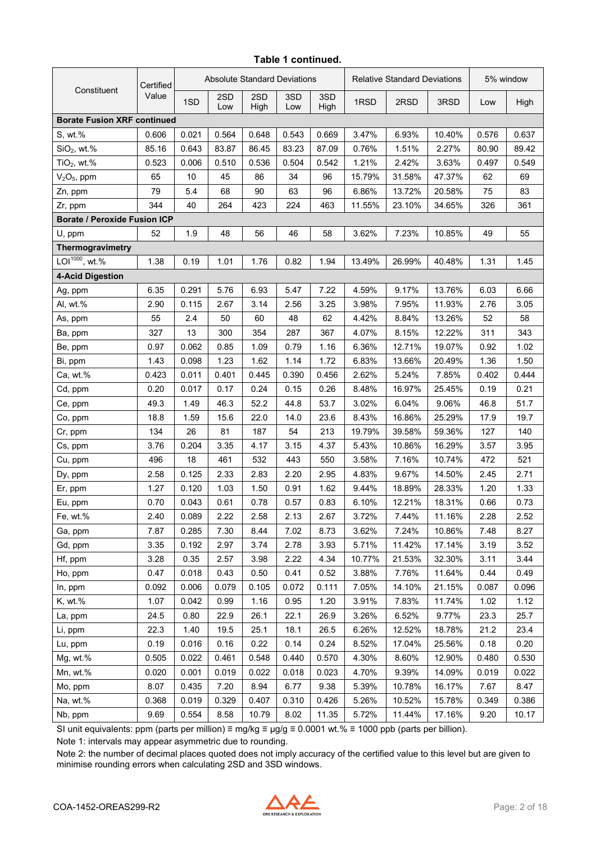| Certified                           |       |       |            | Absolute Standard Deviations |            |             | <b>Relative Standard Deviations</b> |        |        | 5% window |       |
|-------------------------------------|-------|-------|------------|------------------------------|------------|-------------|-------------------------------------|--------|--------|-----------|-------|
| Constituent                         | Value | 1SD   | 2SD<br>Low | 2SD<br>High                  | 3SD<br>Low | 3SD<br>High | 1RSD                                | 2RSD   | 3RSD   | Low       | High  |
| <b>Borate Fusion XRF continued</b>  |       |       |            |                              |            |             |                                     |        |        |           |       |
| S, wt.%                             | 0.606 | 0.021 | 0.564      | 0.648                        | 0.543      | 0.669       | 3.47%                               | 6.93%  | 10.40% | 0.576     | 0.637 |
| $SiO2$ , wt.%                       | 85.16 | 0.643 | 83.87      | 86.45                        | 83.23      | 87.09       | 0.76%                               | 1.51%  | 2.27%  | 80.90     | 89.42 |
| $TiO2$ , wt.%                       | 0.523 | 0.006 | 0.510      | 0.536                        | 0.504      | 0.542       | 1.21%                               | 2.42%  | 3.63%  | 0.497     | 0.549 |
| $V2O5$ , ppm                        | 65    | 10    | 45         | 86                           | 34         | 96          | 15.79%                              | 31.58% | 47.37% | 62        | 69    |
| Zn, ppm                             | 79    | 5.4   | 68         | 90                           | 63         | 96          | 6.86%                               | 13.72% | 20.58% | 75        | 83    |
| Zr, ppm                             | 344   | 40    | 264        | 423                          | 224        | 463         | 11.55%                              | 23.10% | 34.65% | 326       | 361   |
| <b>Borate / Peroxide Fusion ICP</b> |       |       |            |                              |            |             |                                     |        |        |           |       |
| U, ppm                              | 52    | 1.9   | 48         | 56                           | 46         | 58          | 3.62%                               | 7.23%  | 10.85% | 49        | 55    |
| Thermogravimetry                    |       |       |            |                              |            |             |                                     |        |        |           |       |
| LOI <sup>1000</sup> , wt.%          | 1.38  | 0.19  | 1.01       | 1.76                         | 0.82       | 1.94        | 13.49%                              | 26.99% | 40.48% | 1.31      | 1.45  |
| <b>4-Acid Digestion</b>             |       |       |            |                              |            |             |                                     |        |        |           |       |
| Ag, ppm                             | 6.35  | 0.291 | 5.76       | 6.93                         | 5.47       | 7.22        | 4.59%                               | 9.17%  | 13.76% | 6.03      | 6.66  |
| Al, wt.%                            | 2.90  | 0.115 | 2.67       | 3.14                         | 2.56       | 3.25        | 3.98%                               | 7.95%  | 11.93% | 2.76      | 3.05  |
| As, ppm                             | 55    | 2.4   | 50         | 60                           | 48         | 62          | 4.42%                               | 8.84%  | 13.26% | 52        | 58    |
| Ba, ppm                             | 327   | 13    | 300        | 354                          | 287        | 367         | 4.07%                               | 8.15%  | 12.22% | 311       | 343   |
| Be, ppm                             | 0.97  | 0.062 | 0.85       | 1.09                         | 0.79       | 1.16        | 6.36%                               | 12.71% | 19.07% | 0.92      | 1.02  |
| Bi, ppm                             | 1.43  | 0.098 | 1.23       | 1.62                         | 1.14       | 1.72        | 6.83%                               | 13.66% | 20.49% | 1.36      | 1.50  |
| Ca, wt.%                            | 0.423 | 0.011 | 0.401      | 0.445                        | 0.390      | 0.456       | 2.62%                               | 5.24%  | 7.85%  | 0.402     | 0.444 |
| Cd, ppm                             | 0.20  | 0.017 | 0.17       | 0.24                         | 0.15       | 0.26        | 8.48%                               | 16.97% | 25.45% | 0.19      | 0.21  |
| Ce, ppm                             | 49.3  | 1.49  | 46.3       | 52.2                         | 44.8       | 53.7        | 3.02%                               | 6.04%  | 9.06%  | 46.8      | 51.7  |
| Co, ppm                             | 18.8  | 1.59  | 15.6       | 22.0                         | 14.0       | 23.6        | 8.43%                               | 16.86% | 25.29% | 17.9      | 19.7  |
| Cr, ppm                             | 134   | 26    | 81         | 187                          | 54         | 213         | 19.79%                              | 39.58% | 59.36% | 127       | 140   |
| Cs, ppm                             | 3.76  | 0.204 | 3.35       | 4.17                         | 3.15       | 4.37        | 5.43%                               | 10.86% | 16.29% | 3.57      | 3.95  |
| Cu, ppm                             | 496   | 18    | 461        | 532                          | 443        | 550         | 3.58%                               | 7.16%  | 10.74% | 472       | 521   |
| Dy, ppm                             | 2.58  | 0.125 | 2.33       | 2.83                         | 2.20       | 2.95        | 4.83%                               | 9.67%  | 14.50% | 2.45      | 2.71  |
| Er, ppm                             | 1.27  | 0.120 | 1.03       | 1.50                         | 0.91       | 1.62        | 9.44%                               | 18.89% | 28.33% | 1.20      | 1.33  |
| Eu, ppm                             | 0.70  | 0.043 | 0.61       | 0.78                         | 0.57       | 0.83        | 6.10%                               | 12.21% | 18.31% | 0.66      | 0.73  |
| Fe, wt.%                            | 2.40  | 0.089 | 2.22       | 2.58                         | 2.13       | 2.67        | 3.72%                               | 7.44%  | 11.16% | 2.28      | 2.52  |
| Ga, ppm                             | 7.87  | 0.285 | 7.30       | 8.44                         | 7.02       | 8.73        | 3.62%                               | 7.24%  | 10.86% | 7.48      | 8.27  |
| Gd, ppm                             | 3.35  | 0.192 | 2.97       | 3.74                         | 2.78       | 3.93        | 5.71%                               | 11.42% | 17.14% | 3.19      | 3.52  |
| Hf, ppm                             | 3.28  | 0.35  | 2.57       | 3.98                         | 2.22       | 4.34        | 10.77%                              | 21.53% | 32.30% | 3.11      | 3.44  |
| Ho, ppm                             | 0.47  | 0.018 | 0.43       | 0.50                         | 0.41       | 0.52        | 3.88%                               | 7.76%  | 11.64% | 0.44      | 0.49  |
| In, ppm                             | 0.092 | 0.006 | 0.079      | 0.105                        | 0.072      | 0.111       | 7.05%                               | 14.10% | 21.15% | 0.087     | 0.096 |
| K, wt.%                             | 1.07  | 0.042 | 0.99       | 1.16                         | 0.95       | 1.20        | 3.91%                               | 7.83%  | 11.74% | 1.02      | 1.12  |
| La, ppm                             | 24.5  | 0.80  | 22.9       | 26.1                         | 22.1       | 26.9        | 3.26%                               | 6.52%  | 9.77%  | 23.3      | 25.7  |
| Li, ppm                             | 22.3  | 1.40  | 19.5       | 25.1                         | 18.1       | 26.5        | 6.26%                               | 12.52% | 18.78% | 21.2      | 23.4  |
| Lu, ppm                             | 0.19  | 0.016 | 0.16       | 0.22                         | 0.14       | 0.24        | 8.52%                               | 17.04% | 25.56% | 0.18      | 0.20  |
| Mg, wt.%                            | 0.505 | 0.022 | 0.461      | 0.548                        | 0.440      | 0.570       | 4.30%                               | 8.60%  | 12.90% | 0.480     | 0.530 |
| Mn, wt.%                            | 0.020 | 0.001 | 0.019      | 0.022                        | 0.018      | 0.023       | 4.70%                               | 9.39%  | 14.09% | 0.019     | 0.022 |
| Mo, ppm                             | 8.07  | 0.435 | 7.20       | 8.94                         | 6.77       | 9.38        | 5.39%                               | 10.78% | 16.17% | 7.67      | 8.47  |
| Na, wt.%                            | 0.368 | 0.019 | 0.329      | 0.407                        | 0.310      | 0.426       | 5.26%                               | 10.52% | 15.78% | 0.349     | 0.386 |
| Nb, ppm                             | 9.69  | 0.554 | 8.58       | 10.79                        | 8.02       | 11.35       | 5.72%                               | 11.44% | 17.16% | 9.20      | 10.17 |

#### **Table 1 continued.**

SI unit equivalents: ppm (parts per million) ≡ mg/kg ≡ µg/g ≡ 0.0001 wt.% ≡ 1000 ppb (parts per billion).

Note 1: intervals may appear asymmetric due to rounding.

Note 2: the number of decimal places quoted does not imply accuracy of the certified value to this level but are given to minimise rounding errors when calculating 2SD and 3SD windows.

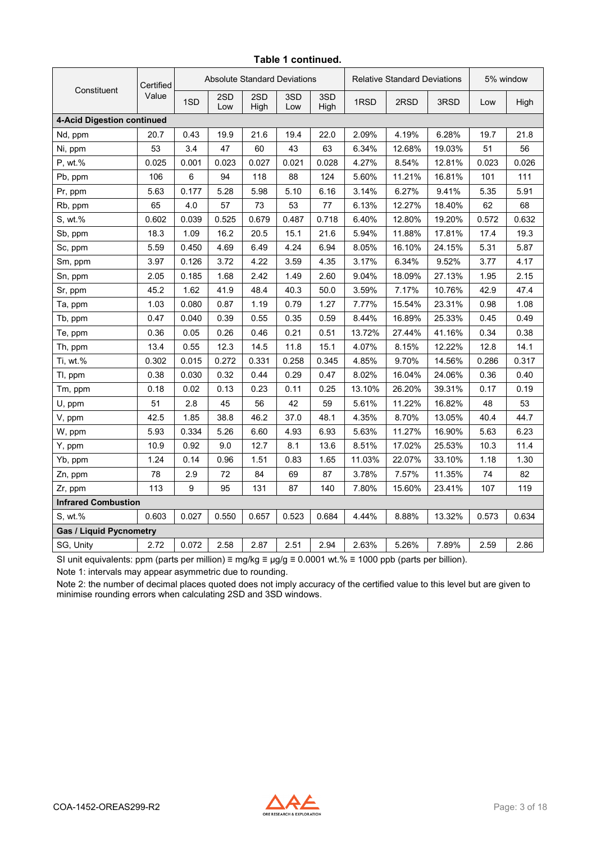| Constituent                    | Certified |                  | <b>Absolute Standard Deviations</b> |             |            |             | <b>Relative Standard Deviations</b> |        |        | 5% window |       |
|--------------------------------|-----------|------------------|-------------------------------------|-------------|------------|-------------|-------------------------------------|--------|--------|-----------|-------|
|                                | Value     | 1SD              | 2SD<br>Low                          | 2SD<br>High | 3SD<br>Low | 3SD<br>High | 1RSD                                | 2RSD   | 3RSD   | Low       | High  |
| 4-Acid Digestion continued     |           |                  |                                     |             |            |             |                                     |        |        |           |       |
| Nd, ppm                        | 20.7      | 0.43             | 19.9                                | 21.6        | 19.4       | 22.0        | 2.09%                               | 4.19%  | 6.28%  | 19.7      | 21.8  |
| Ni, ppm                        | 53        | 3.4              | 47                                  | 60          | 43         | 63          | 6.34%                               | 12.68% | 19.03% | 51        | 56    |
| P, wt.%                        | 0.025     | 0.001            | 0.023                               | 0.027       | 0.021      | 0.028       | 4.27%                               | 8.54%  | 12.81% | 0.023     | 0.026 |
| Pb, ppm                        | 106       | $6\phantom{1}$   | 94                                  | 118         | 88         | 124         | 5.60%                               | 11.21% | 16.81% | 101       | 111   |
| Pr, ppm                        | 5.63      | 0.177            | 5.28                                | 5.98        | 5.10       | 6.16        | 3.14%                               | 6.27%  | 9.41%  | 5.35      | 5.91  |
| Rb, ppm                        | 65        | 4.0              | 57                                  | 73          | 53         | 77          | 6.13%                               | 12.27% | 18.40% | 62        | 68    |
| S, wt.%                        | 0.602     | 0.039            | 0.525                               | 0.679       | 0.487      | 0.718       | 6.40%                               | 12.80% | 19.20% | 0.572     | 0.632 |
| Sb, ppm                        | 18.3      | 1.09             | 16.2                                | 20.5        | 15.1       | 21.6        | 5.94%                               | 11.88% | 17.81% | 17.4      | 19.3  |
| Sc, ppm                        | 5.59      | 0.450            | 4.69                                | 6.49        | 4.24       | 6.94        | 8.05%                               | 16.10% | 24.15% | 5.31      | 5.87  |
| Sm, ppm                        | 3.97      | 0.126            | 3.72                                | 4.22        | 3.59       | 4.35        | 3.17%                               | 6.34%  | 9.52%  | 3.77      | 4.17  |
| Sn, ppm                        | 2.05      | 0.185            | 1.68                                | 2.42        | 1.49       | 2.60        | 9.04%                               | 18.09% | 27.13% | 1.95      | 2.15  |
| Sr, ppm                        | 45.2      | 1.62             | 41.9                                | 48.4        | 40.3       | 50.0        | 3.59%                               | 7.17%  | 10.76% | 42.9      | 47.4  |
| Ta, ppm                        | 1.03      | 0.080            | 0.87                                | 1.19        | 0.79       | 1.27        | 7.77%                               | 15.54% | 23.31% | 0.98      | 1.08  |
| Tb, ppm                        | 0.47      | 0.040            | 0.39                                | 0.55        | 0.35       | 0.59        | 8.44%                               | 16.89% | 25.33% | 0.45      | 0.49  |
| Te, ppm                        | 0.36      | 0.05             | 0.26                                | 0.46        | 0.21       | 0.51        | 13.72%                              | 27.44% | 41.16% | 0.34      | 0.38  |
| Th, ppm                        | 13.4      | 0.55             | 12.3                                | 14.5        | 11.8       | 15.1        | 4.07%                               | 8.15%  | 12.22% | 12.8      | 14.1  |
| Ti, wt.%                       | 0.302     | 0.015            | 0.272                               | 0.331       | 0.258      | 0.345       | 4.85%                               | 9.70%  | 14.56% | 0.286     | 0.317 |
| Tl, ppm                        | 0.38      | 0.030            | 0.32                                | 0.44        | 0.29       | 0.47        | 8.02%                               | 16.04% | 24.06% | 0.36      | 0.40  |
| Tm, ppm                        | 0.18      | 0.02             | 0.13                                | 0.23        | 0.11       | 0.25        | 13.10%                              | 26.20% | 39.31% | 0.17      | 0.19  |
| U, ppm                         | 51        | 2.8              | 45                                  | 56          | 42         | 59          | 5.61%                               | 11.22% | 16.82% | 48        | 53    |
| V, ppm                         | 42.5      | 1.85             | 38.8                                | 46.2        | 37.0       | 48.1        | 4.35%                               | 8.70%  | 13.05% | 40.4      | 44.7  |
| W, ppm                         | 5.93      | 0.334            | 5.26                                | 6.60        | 4.93       | 6.93        | 5.63%                               | 11.27% | 16.90% | 5.63      | 6.23  |
| Y, ppm                         | 10.9      | 0.92             | 9.0                                 | 12.7        | 8.1        | 13.6        | 8.51%                               | 17.02% | 25.53% | 10.3      | 11.4  |
| Yb, ppm                        | 1.24      | 0.14             | 0.96                                | 1.51        | 0.83       | 1.65        | 11.03%                              | 22.07% | 33.10% | 1.18      | 1.30  |
| Zn, ppm                        | 78        | 2.9              | 72                                  | 84          | 69         | 87          | 3.78%                               | 7.57%  | 11.35% | 74        | 82    |
| Zr, ppm                        | 113       | $\boldsymbol{9}$ | 95                                  | 131         | 87         | 140         | 7.80%                               | 15.60% | 23.41% | 107       | 119   |
| <b>Infrared Combustion</b>     |           |                  |                                     |             |            |             |                                     |        |        |           |       |
| S, wt.%                        | 0.603     | 0.027            | 0.550                               | 0.657       | 0.523      | 0.684       | 4.44%                               | 8.88%  | 13.32% | 0.573     | 0.634 |
| <b>Gas / Liquid Pycnometry</b> |           |                  |                                     |             |            |             |                                     |        |        |           |       |
| SG, Unity                      | 2.72      | 0.072            | 2.58                                | 2.87        | 2.51       | 2.94        | 2.63%                               | 5.26%  | 7.89%  | 2.59      | 2.86  |

#### **Table 1 continued.**

SI unit equivalents: ppm (parts per million) ≡ mg/kg ≡ µg/g ≡ 0.0001 wt.% ≡ 1000 ppb (parts per billion).

Note 1: intervals may appear asymmetric due to rounding.

Note 2: the number of decimal places quoted does not imply accuracy of the certified value to this level but are given to minimise rounding errors when calculating 2SD and 3SD windows.

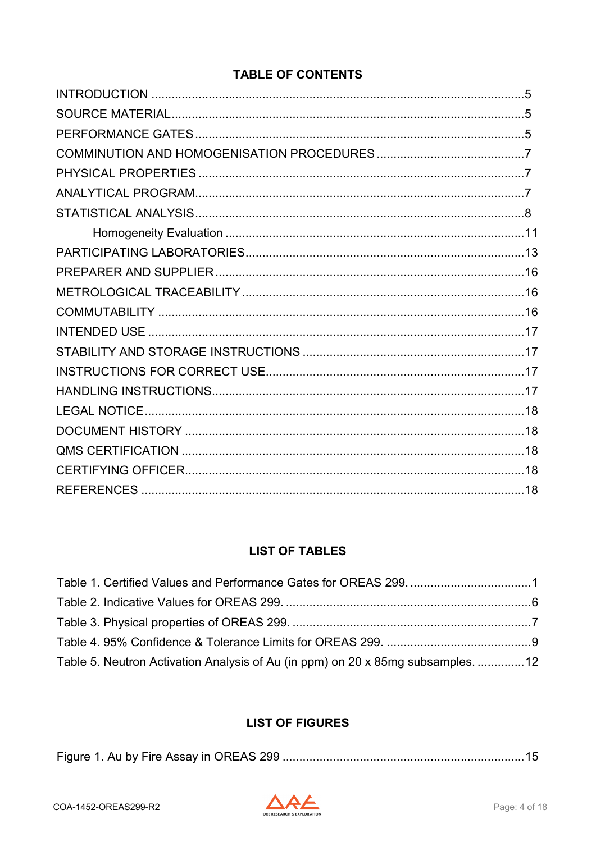#### **TABLE OF CONTENTS**

#### **LIST OF TABLES**

| Table 5. Neutron Activation Analysis of Au (in ppm) on 20 x 85mg subsamples. 12 |  |
|---------------------------------------------------------------------------------|--|

#### **LIST OF FIGURES**

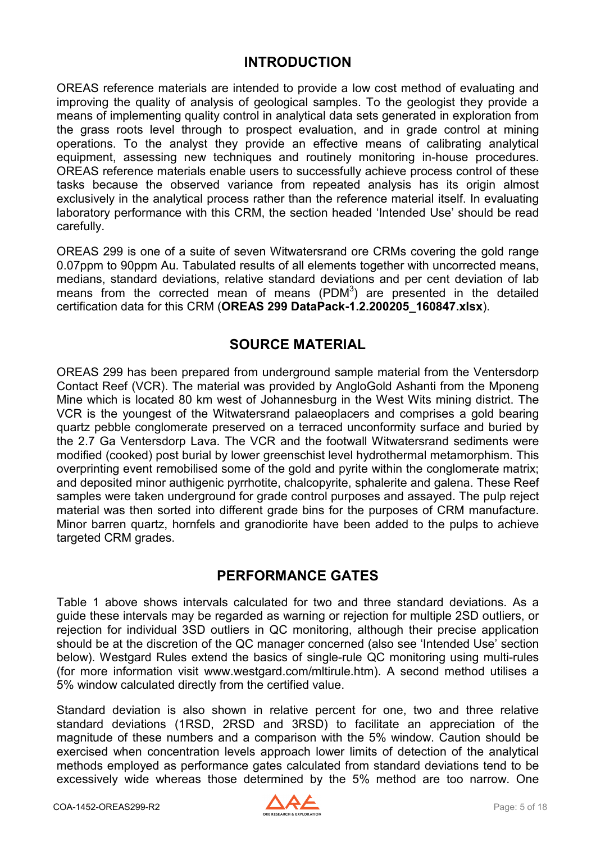#### **INTRODUCTION**

<span id="page-4-0"></span>OREAS reference materials are intended to provide a low cost method of evaluating and improving the quality of analysis of geological samples. To the geologist they provide a means of implementing quality control in analytical data sets generated in exploration from the grass roots level through to prospect evaluation, and in grade control at mining operations. To the analyst they provide an effective means of calibrating analytical equipment, assessing new techniques and routinely monitoring in-house procedures. OREAS reference materials enable users to successfully achieve process control of these tasks because the observed variance from repeated analysis has its origin almost exclusively in the analytical process rather than the reference material itself. In evaluating laboratory performance with this CRM, the section headed 'Intended Use' should be read carefully.

OREAS 299 is one of a suite of seven Witwatersrand ore CRMs covering the gold range 0.07ppm to 90ppm Au. Tabulated results of all elements together with uncorrected means, medians, standard deviations, relative standard deviations and per cent deviation of lab means from the corrected mean of means  $(PDM<sup>3</sup>)$  are presented in the detailed certification data for this CRM (**OREAS 299 DataPack-1.2.200205\_160847.xlsx**).

#### **SOURCE MATERIAL**

<span id="page-4-1"></span>OREAS 299 has been prepared from underground sample material from the Ventersdorp Contact Reef (VCR). The material was provided by AngloGold Ashanti from the Mponeng Mine which is located 80 km west of Johannesburg in the West Wits mining district. The VCR is the youngest of the Witwatersrand palaeoplacers and comprises a gold bearing quartz pebble conglomerate preserved on a terraced unconformity surface and buried by the 2.7 Ga Ventersdorp Lava. The VCR and the footwall Witwatersrand sediments were modified (cooked) post burial by lower greenschist level hydrothermal metamorphism. This overprinting event remobilised some of the gold and pyrite within the conglomerate matrix; and deposited minor authigenic pyrrhotite, chalcopyrite, sphalerite and galena. These Reef samples were taken underground for grade control purposes and assayed. The pulp reject material was then sorted into different grade bins for the purposes of CRM manufacture. Minor barren quartz, hornfels and granodiorite have been added to the pulps to achieve targeted CRM grades.

#### **PERFORMANCE GATES**

<span id="page-4-2"></span>Table 1 above shows intervals calculated for two and three standard deviations. As a guide these intervals may be regarded as warning or rejection for multiple 2SD outliers, or rejection for individual 3SD outliers in QC monitoring, although their precise application should be at the discretion of the QC manager concerned (also see 'Intended Use' section below). Westgard Rules extend the basics of single-rule QC monitoring using multi-rules (for more information visit www.westgard.com/mltirule.htm). A second method utilises a 5% window calculated directly from the certified value.

Standard deviation is also shown in relative percent for one, two and three relative standard deviations (1RSD, 2RSD and 3RSD) to facilitate an appreciation of the magnitude of these numbers and a comparison with the 5% window. Caution should be exercised when concentration levels approach lower limits of detection of the analytical methods employed as performance gates calculated from standard deviations tend to be excessively wide whereas those determined by the 5% method are too narrow. One

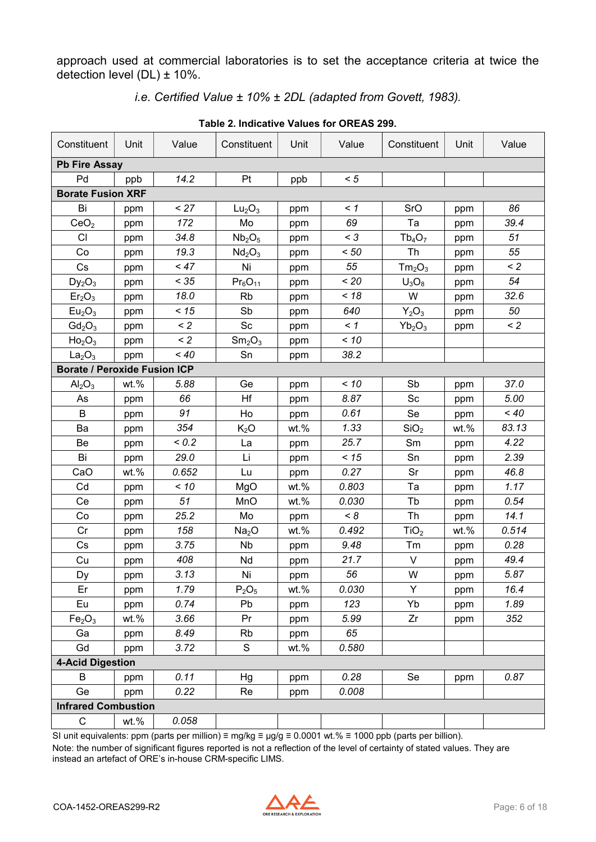approach used at commercial laboratories is to set the acceptance criteria at twice the detection level  $(DL) \pm 10\%$ .

*i.e. Certified Value ± 10% ± 2DL (adapted from Govett, 1983).*

<span id="page-5-0"></span>

| Constituent                         | Unit | Value    | Constituent                    | Unit    | Value    | Constituent                    | Unit | Value    |
|-------------------------------------|------|----------|--------------------------------|---------|----------|--------------------------------|------|----------|
| <b>Pb Fire Assay</b>                |      |          |                                |         |          |                                |      |          |
| Pd                                  | ppb  | 14.2     | Pt                             | ppb     | < 5      |                                |      |          |
| <b>Borate Fusion XRF</b>            |      |          |                                |         |          |                                |      |          |
| Bi                                  | ppm  | < 27     | Lu <sub>2</sub> O <sub>3</sub> | ppm     | $\leq$ 1 | SrO                            | ppm  | 86       |
| CeO <sub>2</sub>                    | ppm  | 172      | Mo                             | ppm     | 69       | Ta                             | ppm  | 39.4     |
| CI                                  | ppm  | 34.8     | Nb <sub>2</sub> O <sub>5</sub> | ppm     | $<$ 3    | $Tb_4O_7$                      | ppm  | 51       |
| Co                                  | ppm  | 19.3     | Nd <sub>2</sub> O <sub>3</sub> | ppm     | < 50     | Th                             | ppm  | 55       |
| Cs                                  | ppm  | < 47     | Ni                             | ppm     | 55       | Tm <sub>2</sub> O <sub>3</sub> | ppm  | $\leq$ 2 |
| $Dy_2O_3$                           | ppm  | < 35     | $Pr_6O_{11}$                   | ppm     | < 20     | $U_3O_8$                       | ppm  | 54       |
| Er <sub>2</sub> O <sub>3</sub>      | ppm  | 18.0     | <b>Rb</b>                      | ppm     | < 18     | W                              | ppm  | 32.6     |
| Eu <sub>2</sub> O <sub>3</sub>      | ppm  | < 15     | Sb                             | ppm     | 640      | $Y_2O_3$                       | ppm  | 50       |
| $Gd_2O_3$                           | ppm  | $\leq$ 2 | Sc                             | ppm     | $\leq 1$ | $Yb_2O_3$                      | ppm  | $\leq$ 2 |
| Ho <sub>2</sub> O <sub>3</sub>      | ppm  | $\leq$ 2 | Sm <sub>2</sub> O <sub>3</sub> | ppm     | $<10$    |                                |      |          |
| La <sub>2</sub> O <sub>3</sub>      | ppm  | $~<$ 40  | Sn                             | ppm     | 38.2     |                                |      |          |
| <b>Borate / Peroxide Fusion ICP</b> |      |          |                                |         |          |                                |      |          |
| $\text{Al}_2\text{O}_3$             | wt.% | 5.88     | Ge                             | ppm     | < 10     | Sb                             | ppm  | 37.0     |
| As                                  | ppm  | 66       | Hf                             | ppm     | 8.87     | Sc                             | ppm  | 5.00     |
| B                                   | ppm  | 91       | Ho                             | ppm     | 0.61     | Se                             | ppm  | $~<$ 40  |
| Ba                                  | ppm  | 354      | K <sub>2</sub> O               | wt.%    | 1.33     | SiO <sub>2</sub>               | wt.% | 83.13    |
| Be                                  | ppm  | < 0.2    | La                             | ppm     | 25.7     | Sm                             | ppm  | 4.22     |
| Bi                                  | ppm  | 29.0     | Li                             | ppm     | < 15     | Sn                             | ppm  | 2.39     |
| CaO                                 | wt.% | 0.652    | Lu                             | ppm     | 0.27     | Sr                             | ppm  | 46.8     |
| Cd                                  | ppm  | < 10     | MgO                            | $wt.$ % | 0.803    | Ta                             | ppm  | 1.17     |
| Ce                                  | ppm  | 51       | MnO                            | wt.%    | 0.030    | Tb                             | ppm  | 0.54     |
| Co                                  | ppm  | 25.2     | Mo                             | ppm     | < 8      | Th                             | ppm  | 14.1     |
| Cr                                  | ppm  | 158      | Na <sub>2</sub> O              | wt.%    | 0.492    | TiO <sub>2</sub>               | wt.% | 0.514    |
| Cs                                  | ppm  | 3.75     | <b>Nb</b>                      | ppm     | 9.48     | Tm                             | ppm  | 0.28     |
| Cu                                  | ppm  | 408      | Nd                             | ppm     | 21.7     | V                              | ppm  | 49.4     |
| Dy                                  | ppm  | 3.13     | Ni                             | ppm     | 56       | W                              | ppm  | 5.87     |
| Er                                  | ppm  | 1.79     | $P_2O_5$                       | wt.%    | 0.030    | Y                              | ppm  | 16.4     |
| Eu                                  | ppm  | 0.74     | Pb                             | ppm     | 123      | Yb                             | ppm  | 1.89     |
| Fe <sub>2</sub> O <sub>3</sub>      | wt.% | 3.66     | Pr                             | ppm     | 5.99     | Zr                             | ppm  | 352      |
| Ga                                  | ppm  | 8.49     | Rb                             | ppm     | 65       |                                |      |          |
| Gd                                  | ppm  | 3.72     | S                              | wt.%    | 0.580    |                                |      |          |
| <b>4-Acid Digestion</b>             |      |          |                                |         |          |                                |      |          |
| B                                   | ppm  | 0.11     | Hg                             | ppm     | 0.28     | Se                             | ppm  | 0.87     |
| Ge                                  | ppm  | 0.22     | Re                             | ppm     | 0.008    |                                |      |          |
| <b>Infrared Combustion</b>          |      |          |                                |         |          |                                |      |          |
| C                                   | wt.% | 0.058    |                                |         |          |                                |      |          |

**Table 2. Indicative Values for OREAS 299.**

SI unit equivalents: ppm (parts per million) ≡ mg/kg ≡ µg/g ≡ 0.0001 wt.% ≡ 1000 ppb (parts per billion).

Note: the number of significant figures reported is not a reflection of the level of certainty of stated values. They are instead an artefact of ORE's in-house CRM-specific LIMS.

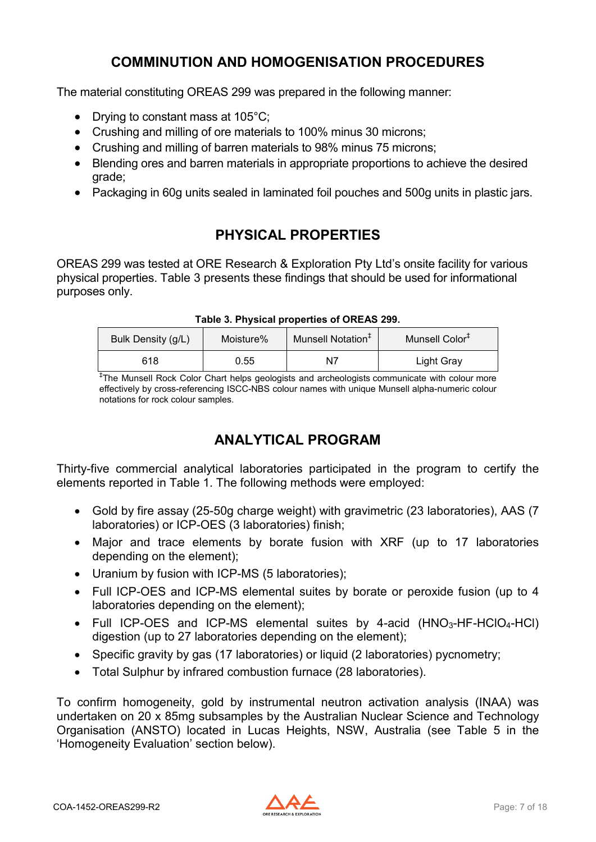### **COMMINUTION AND HOMOGENISATION PROCEDURES**

<span id="page-6-0"></span>The material constituting OREAS 299 was prepared in the following manner:

- Drying to constant mass at 105°C;
- Crushing and milling of ore materials to 100% minus 30 microns;
- Crushing and milling of barren materials to 98% minus 75 microns;
- Blending ores and barren materials in appropriate proportions to achieve the desired grade;
- Packaging in 60g units sealed in laminated foil pouches and 500g units in plastic jars.

### **PHYSICAL PROPERTIES**

<span id="page-6-1"></span>OREAS 299 was tested at ORE Research & Exploration Pty Ltd's onsite facility for various physical properties. Table 3 presents these findings that should be used for informational purposes only.

<span id="page-6-3"></span>

| Bulk Density (g/L)<br>Moisture% |      | Munsell Notation <sup>+</sup> | Munsell Color <sup>+</sup> |  |  |  |
|---------------------------------|------|-------------------------------|----------------------------|--|--|--|
| 618                             | 0.55 | N7                            | Light Gray                 |  |  |  |

#### **Table 3. Physical properties of OREAS 299.**

‡ The Munsell Rock Color Chart helps geologists and archeologists communicate with colour more effectively by cross-referencing ISCC-NBS colour names with unique Munsell alpha-numeric colour notations for rock colour samples.

#### **ANALYTICAL PROGRAM**

<span id="page-6-2"></span>Thirty-five commercial analytical laboratories participated in the program to certify the elements reported in Table 1. The following methods were employed:

- Gold by fire assay (25-50g charge weight) with gravimetric (23 laboratories), AAS (7 laboratories) or ICP-OES (3 laboratories) finish;
- Major and trace elements by borate fusion with XRF (up to 17 laboratories depending on the element);
- Uranium by fusion with ICP-MS (5 laboratories);
- Full ICP-OES and ICP-MS elemental suites by borate or peroxide fusion (up to 4 laboratories depending on the element);
- Full ICP-OES and ICP-MS elemental suites by 4-acid  $(HNO<sub>3</sub>-HF-HClO<sub>4</sub>-HCl)$ digestion (up to 27 laboratories depending on the element);
- Specific gravity by gas (17 laboratories) or liquid (2 laboratories) pycnometry;
- Total Sulphur by infrared combustion furnace (28 laboratories).

To confirm homogeneity, gold by instrumental neutron activation analysis (INAA) was undertaken on 20 x 85mg subsamples by the Australian Nuclear Science and Technology Organisation (ANSTO) located in Lucas Heights, NSW, Australia (see Table 5 in the 'Homogeneity Evaluation' section below).

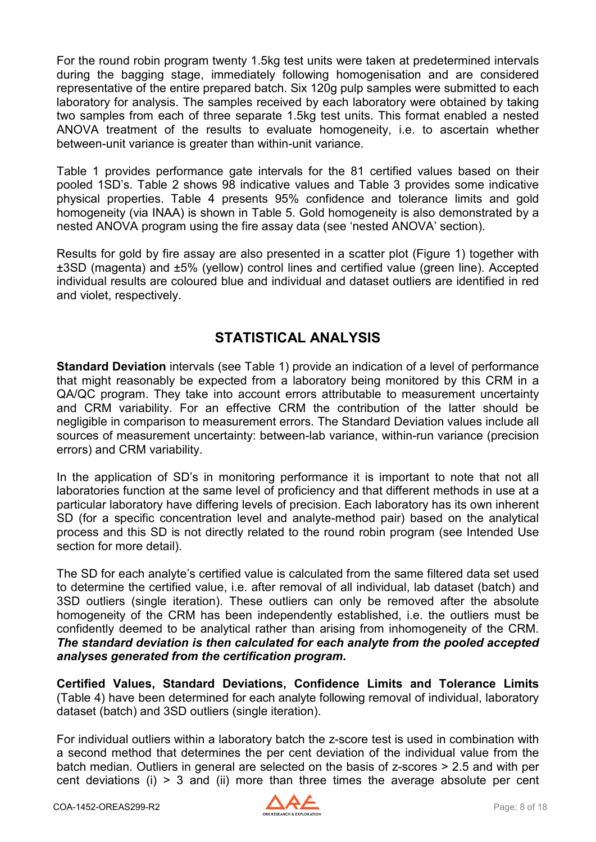For the round robin program twenty 1.5kg test units were taken at predetermined intervals during the bagging stage, immediately following homogenisation and are considered representative of the entire prepared batch. Six 120g pulp samples were submitted to each laboratory for analysis. The samples received by each laboratory were obtained by taking two samples from each of three separate 1.5kg test units. This format enabled a nested ANOVA treatment of the results to evaluate homogeneity, i.e. to ascertain whether between-unit variance is greater than within-unit variance.

Table 1 provides performance gate intervals for the 81 certified values based on their pooled 1SD's. Table 2 shows 98 indicative values and Table 3 provides some indicative physical properties. Table 4 presents 95% confidence and tolerance limits and gold homogeneity (via INAA) is shown in Table 5. Gold homogeneity is also demonstrated by a nested ANOVA program using the fire assay data (see 'nested ANOVA' section).

Results for gold by fire assay are also presented in a scatter plot (Figure 1) together with ±3SD (magenta) and ±5% (yellow) control lines and certified value (green line). Accepted individual results are coloured blue and individual and dataset outliers are identified in red and violet, respectively.

### **STATISTICAL ANALYSIS**

<span id="page-7-0"></span>**Standard Deviation** intervals (see Table 1) provide an indication of a level of performance that might reasonably be expected from a laboratory being monitored by this CRM in a QA/QC program. They take into account errors attributable to measurement uncertainty and CRM variability. For an effective CRM the contribution of the latter should be negligible in comparison to measurement errors. The Standard Deviation values include all sources of measurement uncertainty: between-lab variance, within-run variance (precision errors) and CRM variability.

In the application of SD's in monitoring performance it is important to note that not all laboratories function at the same level of proficiency and that different methods in use at a particular laboratory have differing levels of precision. Each laboratory has its own inherent SD (for a specific concentration level and analyte-method pair) based on the analytical process and this SD is not directly related to the round robin program (see Intended Use section for more detail).

The SD for each analyte's certified value is calculated from the same filtered data set used to determine the certified value, i.e. after removal of all individual, lab dataset (batch) and 3SD outliers (single iteration). These outliers can only be removed after the absolute homogeneity of the CRM has been independently established, i.e. the outliers must be confidently deemed to be analytical rather than arising from inhomogeneity of the CRM. *The standard deviation is then calculated for each analyte from the pooled accepted analyses generated from the certification program.*

**Certified Values, Standard Deviations, Confidence Limits and Tolerance Limits**  (Table 4) have been determined for each analyte following removal of individual, laboratory dataset (batch) and 3SD outliers (single iteration).

For individual outliers within a laboratory batch the z-score test is used in combination with a second method that determines the per cent deviation of the individual value from the batch median. Outliers in general are selected on the basis of z-scores > 2.5 and with per cent deviations (i) > 3 and (ii) more than three times the average absolute per cent

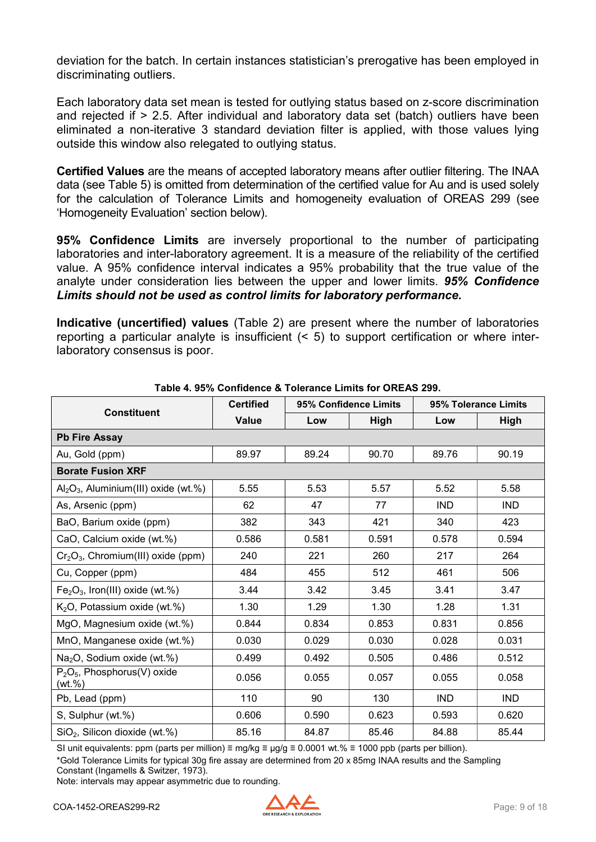deviation for the batch. In certain instances statistician's prerogative has been employed in discriminating outliers.

Each laboratory data set mean is tested for outlying status based on z-score discrimination and rejected if > 2.5. After individual and laboratory data set (batch) outliers have been eliminated a non-iterative 3 standard deviation filter is applied, with those values lying outside this window also relegated to outlying status.

**Certified Values** are the means of accepted laboratory means after outlier filtering. The INAA data (see Table 5) is omitted from determination of the certified value for Au and is used solely for the calculation of Tolerance Limits and homogeneity evaluation of OREAS 299 (see 'Homogeneity Evaluation' section below).

**95% Confidence Limits** are inversely proportional to the number of participating laboratories and inter-laboratory agreement. It is a measure of the reliability of the certified value. A 95% confidence interval indicates a 95% probability that the true value of the analyte under consideration lies between the upper and lower limits. *95% Confidence Limits should not be used as control limits for laboratory performance.*

**Indicative (uncertified) values** (Table 2) are present where the number of laboratories reporting a particular analyte is insufficient (< 5) to support certification or where interlaboratory consensus is poor.

<span id="page-8-0"></span>

| <b>Constituent</b>                                    | <b>Certified</b> | 95% Confidence Limits |       |            | 95% Tolerance Limits |  |
|-------------------------------------------------------|------------------|-----------------------|-------|------------|----------------------|--|
|                                                       | <b>Value</b>     | Low                   | High  | Low        | <b>High</b>          |  |
| <b>Pb Fire Assay</b>                                  |                  |                       |       |            |                      |  |
| Au, Gold (ppm)                                        | 89.97            | 89.24                 | 90.70 | 89.76      | 90.19                |  |
| <b>Borate Fusion XRF</b>                              |                  |                       |       |            |                      |  |
| $\text{Al}_2\text{O}_3$ , Aluminium(III) oxide (wt.%) | 5.55             | 5.53                  | 5.57  | 5.52       | 5.58                 |  |
| As, Arsenic (ppm)                                     | 62               | 47                    | 77    | <b>IND</b> | <b>IND</b>           |  |
| BaO, Barium oxide (ppm)                               | 382              | 343                   | 421   | 340        | 423                  |  |
| CaO, Calcium oxide (wt.%)                             | 0.586            | 0.581                 | 0.591 | 0.578      | 0.594                |  |
| $Cr2O3$ , Chromium(III) oxide (ppm)                   | 240              | 221                   | 260   | 217        | 264                  |  |
| Cu, Copper (ppm)                                      | 484              | 455                   | 512   | 461        | 506                  |  |
| $Fe2O3$ , Iron(III) oxide (wt.%)                      | 3.44             | 3.42                  | 3.45  | 3.41       | 3.47                 |  |
| $K2O$ , Potassium oxide (wt.%)                        | 1.30             | 1.29                  | 1.30  | 1.28       | 1.31                 |  |
| MgO, Magnesium oxide (wt.%)                           | 0.844            | 0.834                 | 0.853 | 0.831      | 0.856                |  |
| MnO, Manganese oxide (wt.%)                           | 0.030            | 0.029                 | 0.030 | 0.028      | 0.031                |  |
| Na <sub>2</sub> O, Sodium oxide (wt.%)                | 0.499            | 0.492                 | 0.505 | 0.486      | 0.512                |  |
| $P_2O_5$ , Phosphorus(V) oxide<br>(wt. %)             | 0.056            | 0.055                 | 0.057 | 0.055      | 0.058                |  |
| Pb, Lead (ppm)                                        | 110              | 90                    | 130   | <b>IND</b> | <b>IND</b>           |  |
| S, Sulphur (wt.%)                                     | 0.606            | 0.590                 | 0.623 | 0.593      | 0.620                |  |
| $SiO2$ , Silicon dioxide (wt.%)                       | 85.16            | 84.87                 | 85.46 | 84.88      | 85.44                |  |

**Table 4. 95% Confidence & Tolerance Limits for OREAS 299.**

SI unit equivalents: ppm (parts per million) ≡ mg/kg ≡  $\mu$ g/g ≡ 0.0001 wt.% ≡ 1000 ppb (parts per billion).

\*Gold Tolerance Limits for typical 30g fire assay are determined from 20 x 85mg INAA results and the Sampling Constant (Ingamells & Switzer, 1973).

Note: intervals may appear asymmetric due to rounding.

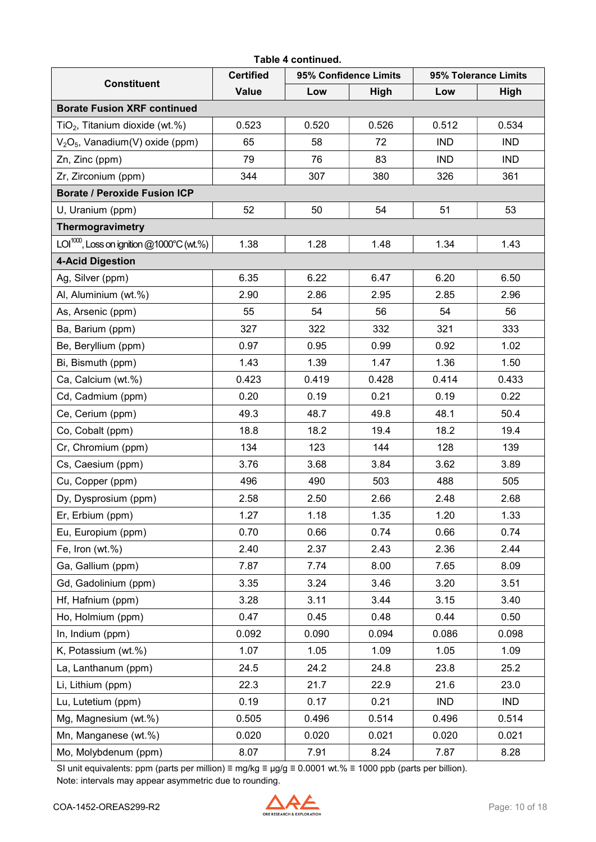| Table 4 continued.                             |                  |       |                       |                      |            |  |
|------------------------------------------------|------------------|-------|-----------------------|----------------------|------------|--|
| <b>Constituent</b>                             | <b>Certified</b> |       | 95% Confidence Limits | 95% Tolerance Limits |            |  |
|                                                | <b>Value</b>     | Low   | High                  | Low                  | High       |  |
| <b>Borate Fusion XRF continued</b>             |                  |       |                       |                      |            |  |
| TiO <sub>2</sub> , Titanium dioxide (wt.%)     | 0.523            | 0.520 | 0.526                 | 0.512                | 0.534      |  |
| $V2O5$ , Vanadium(V) oxide (ppm)               | 65               | 58    | 72                    | <b>IND</b>           | <b>IND</b> |  |
| Zn, Zinc (ppm)                                 | 79               | 76    | 83                    | <b>IND</b>           | <b>IND</b> |  |
| Zr, Zirconium (ppm)                            | 344              | 307   | 380                   | 326                  | 361        |  |
| <b>Borate / Peroxide Fusion ICP</b>            |                  |       |                       |                      |            |  |
| U, Uranium (ppm)                               | 52               | 50    | 54                    | 51                   | 53         |  |
| Thermogravimetry                               |                  |       |                       |                      |            |  |
| $LOI^{1000}$ , Loss on ignition @1000°C (wt.%) | 1.38             | 1.28  | 1.48                  | 1.34                 | 1.43       |  |
| <b>4-Acid Digestion</b>                        |                  |       |                       |                      |            |  |
| Ag, Silver (ppm)                               | 6.35             | 6.22  | 6.47                  | 6.20                 | 6.50       |  |
| Al, Aluminium (wt.%)                           | 2.90             | 2.86  | 2.95                  | 2.85                 | 2.96       |  |
| As, Arsenic (ppm)                              | 55               | 54    | 56                    | 54                   | 56         |  |
| Ba, Barium (ppm)                               | 327              | 322   | 332                   | 321                  | 333        |  |
| Be, Beryllium (ppm)                            | 0.97             | 0.95  | 0.99                  | 0.92                 | 1.02       |  |
| Bi, Bismuth (ppm)                              | 1.43             | 1.39  | 1.47                  | 1.36                 | 1.50       |  |
| Ca, Calcium (wt.%)                             | 0.423            | 0.419 | 0.428                 | 0.414                | 0.433      |  |
| Cd, Cadmium (ppm)                              | 0.20             | 0.19  | 0.21                  | 0.19                 | 0.22       |  |
| Ce, Cerium (ppm)                               | 49.3             | 48.7  | 49.8                  | 48.1                 | 50.4       |  |
| Co, Cobalt (ppm)                               | 18.8             | 18.2  | 19.4                  | 18.2                 | 19.4       |  |
| Cr, Chromium (ppm)                             | 134              | 123   | 144                   | 128                  | 139        |  |
| Cs, Caesium (ppm)                              | 3.76             | 3.68  | 3.84                  | 3.62                 | 3.89       |  |
| Cu, Copper (ppm)                               | 496              | 490   | 503                   | 488                  | 505        |  |
| Dy, Dysprosium (ppm)                           | 2.58             | 2.50  | 2.66                  | 2.48                 | 2.68       |  |
| Er, Erbium (ppm)                               | 1.27             | 1.18  | 1.35                  | 1.20                 | 1.33       |  |
| Eu, Europium (ppm)                             | 0.70             | 0.66  | 0.74                  | 0.66                 | 0.74       |  |
| Fe, Iron ( $wt$ .%)                            | 2.40             | 2.37  | 2.43                  | 2.36                 | 2.44       |  |
| Ga, Gallium (ppm)                              | 7.87             | 7.74  | 8.00                  | 7.65                 | 8.09       |  |
| Gd, Gadolinium (ppm)                           | 3.35             | 3.24  | 3.46                  | 3.20                 | 3.51       |  |
| Hf, Hafnium (ppm)                              | 3.28             | 3.11  | 3.44                  | 3.15                 | 3.40       |  |
| Ho, Holmium (ppm)                              | 0.47             | 0.45  | 0.48                  | 0.44                 | 0.50       |  |
| In, Indium (ppm)                               | 0.092            | 0.090 | 0.094                 | 0.086                | 0.098      |  |
| K, Potassium (wt.%)                            | 1.07             | 1.05  | 1.09                  | 1.05                 | 1.09       |  |
| La, Lanthanum (ppm)                            | 24.5             | 24.2  | 24.8                  | 23.8                 | 25.2       |  |
| Li, Lithium (ppm)                              | 22.3             | 21.7  | 22.9                  | 21.6                 | 23.0       |  |
| Lu, Lutetium (ppm)                             | 0.19             | 0.17  | 0.21                  | <b>IND</b>           | <b>IND</b> |  |
| Mg, Magnesium (wt.%)                           | 0.505            | 0.496 | 0.514                 | 0.496                | 0.514      |  |
| Mn, Manganese (wt.%)                           | 0.020            | 0.020 | 0.021                 | 0.020                | 0.021      |  |
| Mo, Molybdenum (ppm)                           | 8.07             | 7.91  | 8.24                  | 7.87                 | 8.28       |  |

SI unit equivalents: ppm (parts per million) ≡ mg/kg ≡ µg/g ≡ 0.0001 wt.% ≡ 1000 ppb (parts per billion). Note: intervals may appear asymmetric due to rounding.

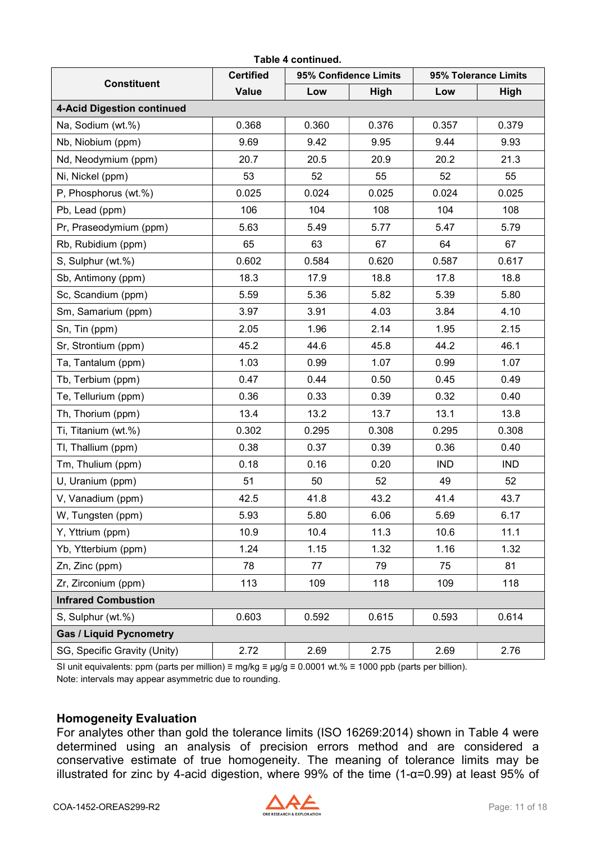|                                   |                  | Table 4 continued. |                       |            |                      |  |  |
|-----------------------------------|------------------|--------------------|-----------------------|------------|----------------------|--|--|
| <b>Constituent</b>                | <b>Certified</b> |                    | 95% Confidence Limits |            | 95% Tolerance Limits |  |  |
|                                   | <b>Value</b>     | Low                | <b>High</b>           | Low        | <b>High</b>          |  |  |
| <b>4-Acid Digestion continued</b> |                  |                    |                       |            |                      |  |  |
| Na, Sodium (wt.%)                 | 0.368            | 0.360              | 0.376                 | 0.357      | 0.379                |  |  |
| Nb, Niobium (ppm)                 | 9.69             | 9.42               | 9.95                  | 9.44       | 9.93                 |  |  |
| Nd, Neodymium (ppm)               | 20.7             | 20.5               | 20.9                  | 20.2       | 21.3                 |  |  |
| Ni, Nickel (ppm)                  | 53               | 52                 | 55                    | 52         | 55                   |  |  |
| P, Phosphorus (wt.%)              | 0.025            | 0.024              | 0.025                 | 0.024      | 0.025                |  |  |
| Pb, Lead (ppm)                    | 106              | 104                | 108                   | 104        | 108                  |  |  |
| Pr, Praseodymium (ppm)            | 5.63             | 5.49               | 5.77                  | 5.47       | 5.79                 |  |  |
| Rb, Rubidium (ppm)                | 65               | 63                 | 67                    | 64         | 67                   |  |  |
| S, Sulphur (wt.%)                 | 0.602            | 0.584              | 0.620                 | 0.587      | 0.617                |  |  |
| Sb, Antimony (ppm)                | 18.3             | 17.9               | 18.8                  | 17.8       | 18.8                 |  |  |
| Sc, Scandium (ppm)                | 5.59             | 5.36               | 5.82                  | 5.39       | 5.80                 |  |  |
| Sm, Samarium (ppm)                | 3.97             | 3.91               | 4.03                  | 3.84       | 4.10                 |  |  |
| Sn, Tin (ppm)                     | 2.05             | 1.96               | 2.14                  | 1.95       | 2.15                 |  |  |
| Sr, Strontium (ppm)               | 45.2             | 44.6               | 45.8                  | 44.2       | 46.1                 |  |  |
| Ta, Tantalum (ppm)                | 1.03             | 0.99               | 1.07                  | 0.99       | 1.07                 |  |  |
| Tb, Terbium (ppm)                 | 0.47             | 0.44               | 0.50                  | 0.45       | 0.49                 |  |  |
| Te, Tellurium (ppm)               | 0.36             | 0.33               | 0.39                  | 0.32       | 0.40                 |  |  |
| Th, Thorium (ppm)                 | 13.4             | 13.2               | 13.7                  | 13.1       | 13.8                 |  |  |
| Ti, Titanium (wt.%)               | 0.302            | 0.295              | 0.308                 | 0.295      | 0.308                |  |  |
| TI, Thallium (ppm)                | 0.38             | 0.37               | 0.39                  | 0.36       | 0.40                 |  |  |
| Tm, Thulium (ppm)                 | 0.18             | 0.16               | 0.20                  | <b>IND</b> | <b>IND</b>           |  |  |
| U, Uranium (ppm)                  | 51               | 50                 | 52                    | 49         | 52                   |  |  |
| V, Vanadium (ppm)                 | 42.5             | 41.8               | 43.2                  | 41.4       | 43.7                 |  |  |
| W, Tungsten (ppm)                 | 5.93             | 5.80               | 6.06                  | 5.69       | 6.17                 |  |  |
| Y, Yttrium (ppm)                  | 10.9             | 10.4               | 11.3                  | 10.6       | 11.1                 |  |  |
| Yb, Ytterbium (ppm)               | 1.24             | 1.15               | 1.32                  | 1.16       | 1.32                 |  |  |
| Zn, Zinc (ppm)                    | 78               | 77                 | 79                    | 75         | 81                   |  |  |
| Zr, Zirconium (ppm)               | 113              | 109                | 118                   | 109        | 118                  |  |  |
| <b>Infrared Combustion</b>        |                  |                    |                       |            |                      |  |  |
| S, Sulphur (wt.%)                 | 0.603            | 0.592              | 0.615                 | 0.593      | 0.614                |  |  |
| <b>Gas / Liquid Pycnometry</b>    |                  |                    |                       |            |                      |  |  |
| SG, Specific Gravity (Unity)      | 2.72             | 2.69               | 2.75                  | 2.69       | 2.76                 |  |  |

SI unit equivalents: ppm (parts per million) ≡ mg/kg ≡ µg/g ≡ 0.0001 wt.% ≡ 1000 ppb (parts per billion). Note: intervals may appear asymmetric due to rounding.

#### <span id="page-10-0"></span>**Homogeneity Evaluation**

For analytes other than gold the tolerance limits (ISO 16269:2014) shown in Table 4 were determined using an analysis of precision errors method and are considered a conservative estimate of true homogeneity. The meaning of tolerance limits may be illustrated for zinc by 4-acid digestion, where 99% of the time (1-α=0.99) at least 95% of

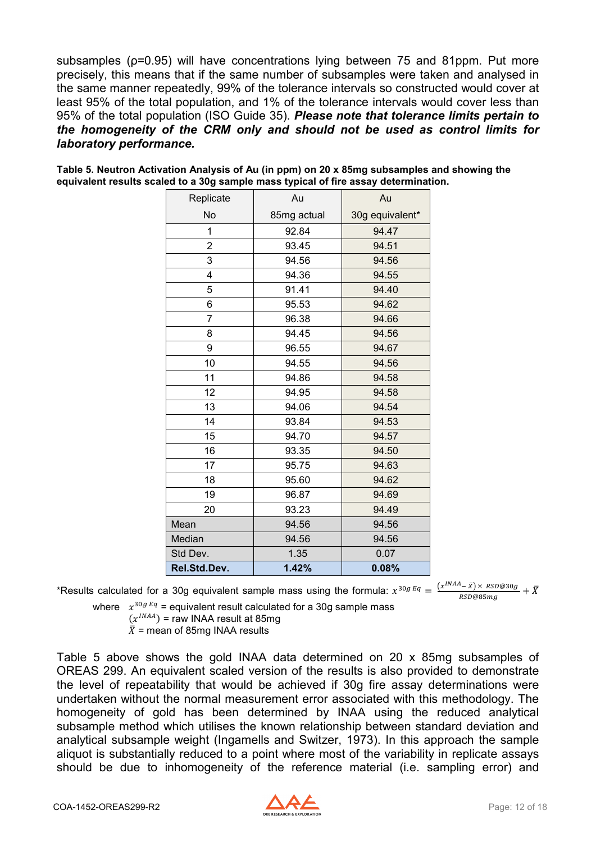subsamples ( $p=0.95$ ) will have concentrations lying between 75 and 81ppm. Put more precisely, this means that if the same number of subsamples were taken and analysed in the same manner repeatedly, 99% of the tolerance intervals so constructed would cover at least 95% of the total population, and 1% of the tolerance intervals would cover less than 95% of the total population (ISO Guide 35). *Please note that tolerance limits pertain to the homogeneity of the CRM only and should not be used as control limits for laboratory performance.*

| Replicate      | Au          | Au              |
|----------------|-------------|-----------------|
| No             | 85mg actual | 30g equivalent* |
| $\mathbf{1}$   | 92.84       | 94.47           |
| $\overline{2}$ | 93.45       | 94.51           |
| 3              | 94.56       | 94.56           |
| 4              | 94.36       | 94.55           |
| 5              | 91.41       | 94.40           |
| 6              | 95.53       | 94.62           |
| $\overline{7}$ | 96.38       | 94.66           |
| 8              | 94.45       | 94.56           |
| 9              | 96.55       | 94.67           |
| 10             | 94.55       | 94.56           |
| 11             | 94.86       | 94.58           |
| 12             | 94.95       | 94.58           |
| 13             | 94.06       | 94.54           |
| 14             | 93.84       | 94.53           |
| 15             | 94.70       | 94.57           |
| 16             | 93.35       | 94.50           |
| 17             | 95.75       | 94.63           |
| 18             | 95.60       | 94.62           |
| 19             | 96.87       | 94.69           |
| 20             | 93.23       | 94.49           |
| Mean           | 94.56       | 94.56           |
| Median         | 94.56       | 94.56           |
| Std Dev.       | 1.35        | 0.07            |
| Rel.Std.Dev.   | 1.42%       | 0.08%           |

<span id="page-11-0"></span>**Table 5. Neutron Activation Analysis of Au (in ppm) on 20 x 85mg subsamples and showing the equivalent results scaled to a 30g sample mass typical of fire assay determination.**

\*Results calculated for a 30g equivalent sample mass using the formula:  $x^{30gEq} = \frac{(x^{INAA}-\bar{x}) \times RSD@30g}{RSD@85mg} + \bar{X}$ 

where  $x^{30gEq}$  = equivalent result calculated for a 30g sample mass

$$
(x^{INAA})
$$
 = raw INAA result at 85mg  
 $\bar{X}$  = mean of 95ms NIA A results

 $X =$  mean of 85mg INAA results

Table 5 above shows the gold INAA data determined on 20 x 85mg subsamples of OREAS 299. An equivalent scaled version of the results is also provided to demonstrate the level of repeatability that would be achieved if 30g fire assay determinations were undertaken without the normal measurement error associated with this methodology. The homogeneity of gold has been determined by INAA using the reduced analytical subsample method which utilises the known relationship between standard deviation and analytical subsample weight (Ingamells and Switzer, 1973). In this approach the sample aliquot is substantially reduced to a point where most of the variability in replicate assays should be due to inhomogeneity of the reference material (i.e. sampling error) and

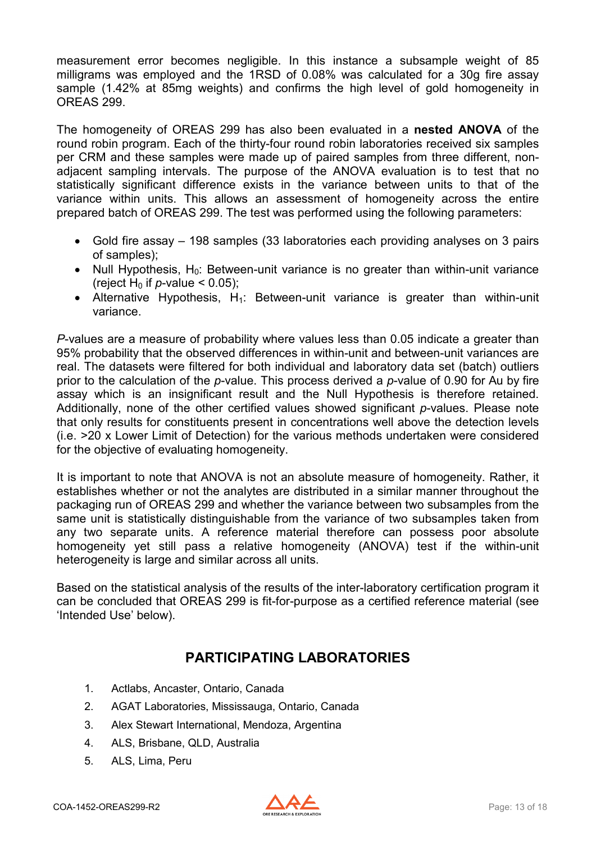measurement error becomes negligible. In this instance a subsample weight of 85 milligrams was employed and the 1RSD of 0.08% was calculated for a 30g fire assay sample (1.42% at 85mg weights) and confirms the high level of gold homogeneity in OREAS 299.

The homogeneity of OREAS 299 has also been evaluated in a **nested ANOVA** of the round robin program. Each of the thirty-four round robin laboratories received six samples per CRM and these samples were made up of paired samples from three different, nonadjacent sampling intervals. The purpose of the ANOVA evaluation is to test that no statistically significant difference exists in the variance between units to that of the variance within units. This allows an assessment of homogeneity across the entire prepared batch of OREAS 299. The test was performed using the following parameters:

- Gold fire assay 198 samples (33 laboratories each providing analyses on 3 pairs of samples);
- Null Hypothesis,  $H_0$ : Between-unit variance is no greater than within-unit variance (reject H<sub>0</sub> if *p*-value  $<$  0.05);
- Alternative Hypothesis,  $H_1$ : Between-unit variance is greater than within-unit variance.

*P*-values are a measure of probability where values less than 0.05 indicate a greater than 95% probability that the observed differences in within-unit and between-unit variances are real. The datasets were filtered for both individual and laboratory data set (batch) outliers prior to the calculation of the *p*-value. This process derived a *p*-value of 0.90 for Au by fire assay which is an insignificant result and the Null Hypothesis is therefore retained. Additionally, none of the other certified values showed significant *p*-values. Please note that only results for constituents present in concentrations well above the detection levels (i.e. >20 x Lower Limit of Detection) for the various methods undertaken were considered for the objective of evaluating homogeneity.

It is important to note that ANOVA is not an absolute measure of homogeneity. Rather, it establishes whether or not the analytes are distributed in a similar manner throughout the packaging run of OREAS 299 and whether the variance between two subsamples from the same unit is statistically distinguishable from the variance of two subsamples taken from any two separate units. A reference material therefore can possess poor absolute homogeneity yet still pass a relative homogeneity (ANOVA) test if the within-unit heterogeneity is large and similar across all units.

Based on the statistical analysis of the results of the inter-laboratory certification program it can be concluded that OREAS 299 is fit-for-purpose as a certified reference material (see 'Intended Use' below).

### **PARTICIPATING LABORATORIES**

- <span id="page-12-0"></span>1. Actlabs, Ancaster, Ontario, Canada
- 2. AGAT Laboratories, Mississauga, Ontario, Canada
- 3. Alex Stewart International, Mendoza, Argentina
- 4. ALS, Brisbane, QLD, Australia
- 5. ALS, Lima, Peru

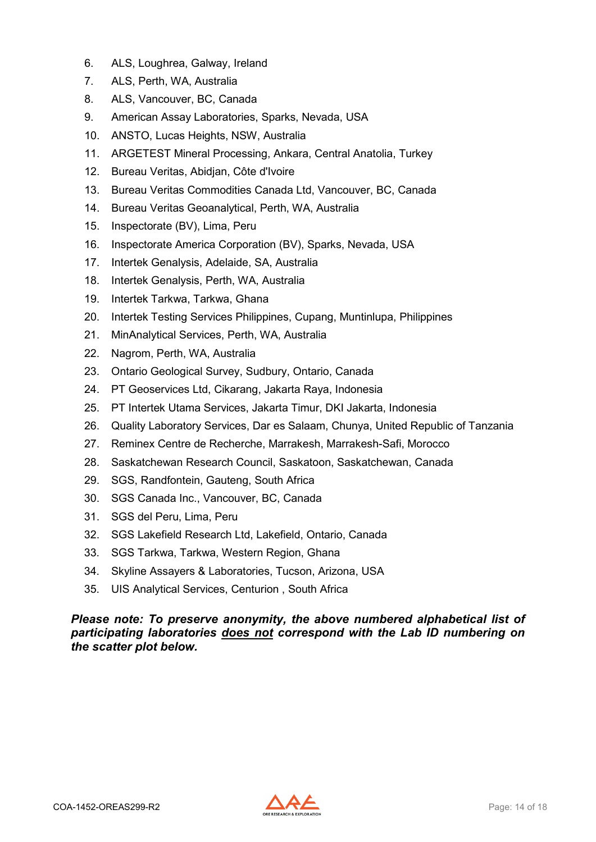- 6. ALS, Loughrea, Galway, Ireland
- 7. ALS, Perth, WA, Australia
- 8. ALS, Vancouver, BC, Canada
- 9. American Assay Laboratories, Sparks, Nevada, USA
- 10. ANSTO, Lucas Heights, NSW, Australia
- 11. ARGETEST Mineral Processing, Ankara, Central Anatolia, Turkey
- 12. Bureau Veritas, Abidjan, Côte d'Ivoire
- 13. Bureau Veritas Commodities Canada Ltd, Vancouver, BC, Canada
- 14. Bureau Veritas Geoanalytical, Perth, WA, Australia
- 15. Inspectorate (BV), Lima, Peru
- 16. Inspectorate America Corporation (BV), Sparks, Nevada, USA
- 17. Intertek Genalysis, Adelaide, SA, Australia
- 18. Intertek Genalysis, Perth, WA, Australia
- 19. Intertek Tarkwa, Tarkwa, Ghana
- 20. Intertek Testing Services Philippines, Cupang, Muntinlupa, Philippines
- 21. MinAnalytical Services, Perth, WA, Australia
- 22. Nagrom, Perth, WA, Australia
- 23. Ontario Geological Survey, Sudbury, Ontario, Canada
- 24. PT Geoservices Ltd, Cikarang, Jakarta Raya, Indonesia
- 25. PT Intertek Utama Services, Jakarta Timur, DKI Jakarta, Indonesia
- 26. Quality Laboratory Services, Dar es Salaam, Chunya, United Republic of Tanzania
- 27. Reminex Centre de Recherche, Marrakesh, Marrakesh-Safi, Morocco
- 28. Saskatchewan Research Council, Saskatoon, Saskatchewan, Canada
- 29. SGS, Randfontein, Gauteng, South Africa
- 30. SGS Canada Inc., Vancouver, BC, Canada
- 31. SGS del Peru, Lima, Peru
- 32. SGS Lakefield Research Ltd, Lakefield, Ontario, Canada
- 33. SGS Tarkwa, Tarkwa, Western Region, Ghana
- 34. Skyline Assayers & Laboratories, Tucson, Arizona, USA
- 35. UIS Analytical Services, Centurion , South Africa

#### *Please note: To preserve anonymity, the above numbered alphabetical list of participating laboratories does not correspond with the Lab ID numbering on the scatter plot below.*

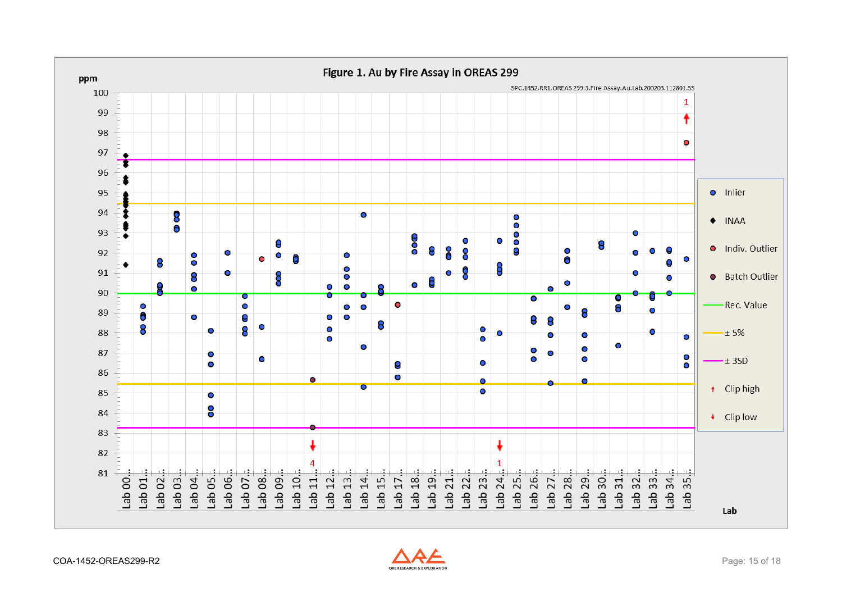<span id="page-14-0"></span>

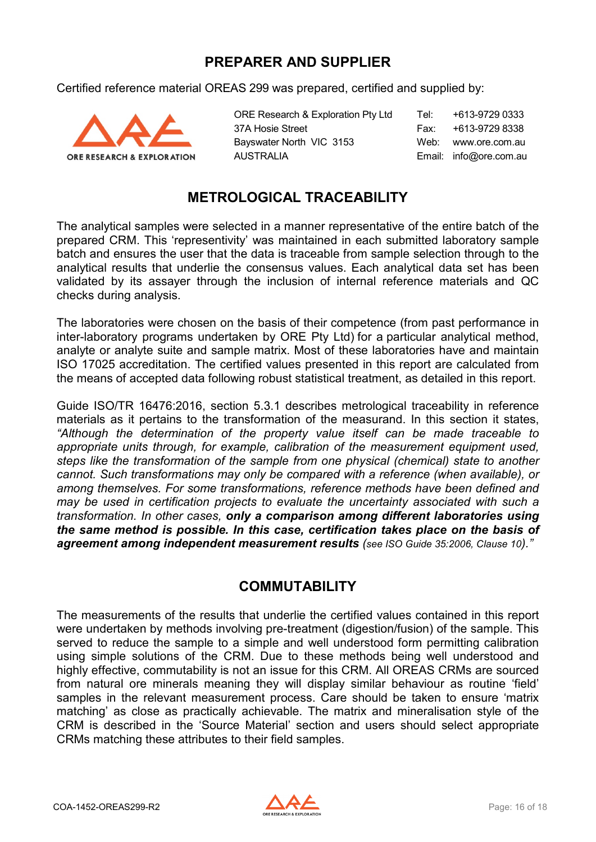#### **PREPARER AND SUPPLIER**

<span id="page-15-0"></span>Certified reference material OREAS 299 was prepared, certified and supplied by:



ORE Research & Exploration Pty Ltd Tel: +613-9729 0333 37A Hosie Street Fax: +613-9729 8338 Bayswater North VIC 3153 Web: www.ore.com.au AUSTRALIA Email: info@ore.com.au

### **METROLOGICAL TRACEABILITY**

<span id="page-15-1"></span>The analytical samples were selected in a manner representative of the entire batch of the prepared CRM. This 'representivity' was maintained in each submitted laboratory sample batch and ensures the user that the data is traceable from sample selection through to the analytical results that underlie the consensus values. Each analytical data set has been validated by its assayer through the inclusion of internal reference materials and QC checks during analysis.

The laboratories were chosen on the basis of their competence (from past performance in inter-laboratory programs undertaken by ORE Pty Ltd) for a particular analytical method, analyte or analyte suite and sample matrix. Most of these laboratories have and maintain ISO 17025 accreditation. The certified values presented in this report are calculated from the means of accepted data following robust statistical treatment, as detailed in this report.

Guide ISO/TR 16476:2016, section 5.3.1 describes metrological traceability in reference materials as it pertains to the transformation of the measurand. In this section it states, *"Although the determination of the property value itself can be made traceable to appropriate units through, for example, calibration of the measurement equipment used, steps like the transformation of the sample from one physical (chemical) state to another cannot. Such transformations may only be compared with a reference (when available), or among themselves. For some transformations, reference methods have been defined and may be used in certification projects to evaluate the uncertainty associated with such a transformation. In other cases, only a comparison among different laboratories using the same method is possible. In this case, certification takes place on the basis of agreement among independent measurement results (see ISO Guide 35:2006, Clause 10)."*

#### **COMMUTABILITY**

<span id="page-15-2"></span>The measurements of the results that underlie the certified values contained in this report were undertaken by methods involving pre-treatment (digestion/fusion) of the sample. This served to reduce the sample to a simple and well understood form permitting calibration using simple solutions of the CRM. Due to these methods being well understood and highly effective, commutability is not an issue for this CRM. All OREAS CRMs are sourced from natural ore minerals meaning they will display similar behaviour as routine 'field' samples in the relevant measurement process. Care should be taken to ensure 'matrix matching' as close as practically achievable. The matrix and mineralisation style of the CRM is described in the 'Source Material' section and users should select appropriate CRMs matching these attributes to their field samples.

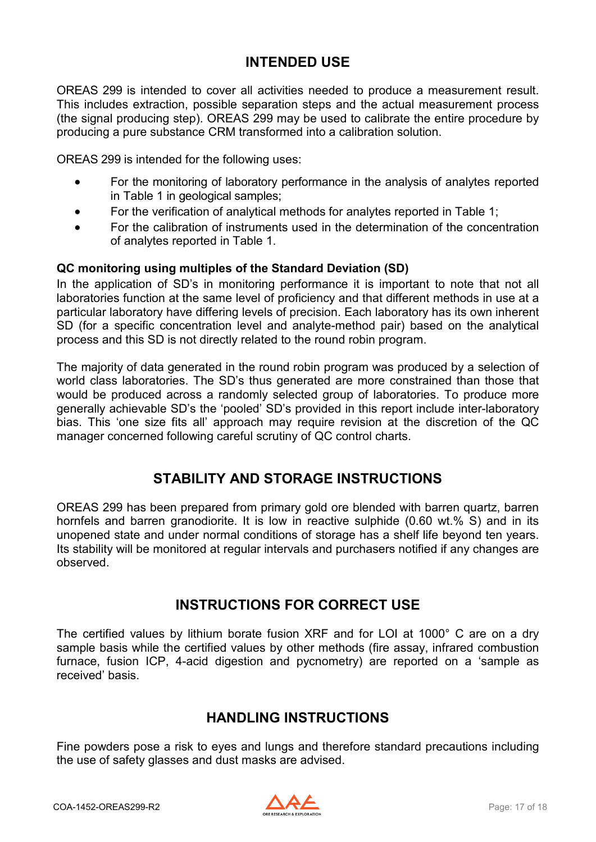#### **INTENDED USE**

<span id="page-16-0"></span>OREAS 299 is intended to cover all activities needed to produce a measurement result. This includes extraction, possible separation steps and the actual measurement process (the signal producing step). OREAS 299 may be used to calibrate the entire procedure by producing a pure substance CRM transformed into a calibration solution.

OREAS 299 is intended for the following uses:

- For the monitoring of laboratory performance in the analysis of analytes reported in Table 1 in geological samples;
- For the verification of analytical methods for analytes reported in Table 1;
- For the calibration of instruments used in the determination of the concentration of analytes reported in Table 1.

#### **QC monitoring using multiples of the Standard Deviation (SD)**

In the application of SD's in monitoring performance it is important to note that not all laboratories function at the same level of proficiency and that different methods in use at a particular laboratory have differing levels of precision. Each laboratory has its own inherent SD (for a specific concentration level and analyte-method pair) based on the analytical process and this SD is not directly related to the round robin program.

The majority of data generated in the round robin program was produced by a selection of world class laboratories. The SD's thus generated are more constrained than those that would be produced across a randomly selected group of laboratories. To produce more generally achievable SD's the 'pooled' SD's provided in this report include inter-laboratory bias. This 'one size fits all' approach may require revision at the discretion of the QC manager concerned following careful scrutiny of QC control charts.

#### **STABILITY AND STORAGE INSTRUCTIONS**

<span id="page-16-1"></span>OREAS 299 has been prepared from primary gold ore blended with barren quartz, barren hornfels and barren granodiorite. It is low in reactive sulphide (0.60 wt.% S) and in its unopened state and under normal conditions of storage has a shelf life beyond ten years. Its stability will be monitored at regular intervals and purchasers notified if any changes are observed.

#### **INSTRUCTIONS FOR CORRECT USE**

<span id="page-16-2"></span>The certified values by lithium borate fusion XRF and for LOI at 1000° C are on a dry sample basis while the certified values by other methods (fire assay, infrared combustion furnace, fusion ICP, 4-acid digestion and pycnometry) are reported on a 'sample as received' basis.

#### **HANDLING INSTRUCTIONS**

<span id="page-16-3"></span>Fine powders pose a risk to eyes and lungs and therefore standard precautions including the use of safety glasses and dust masks are advised.